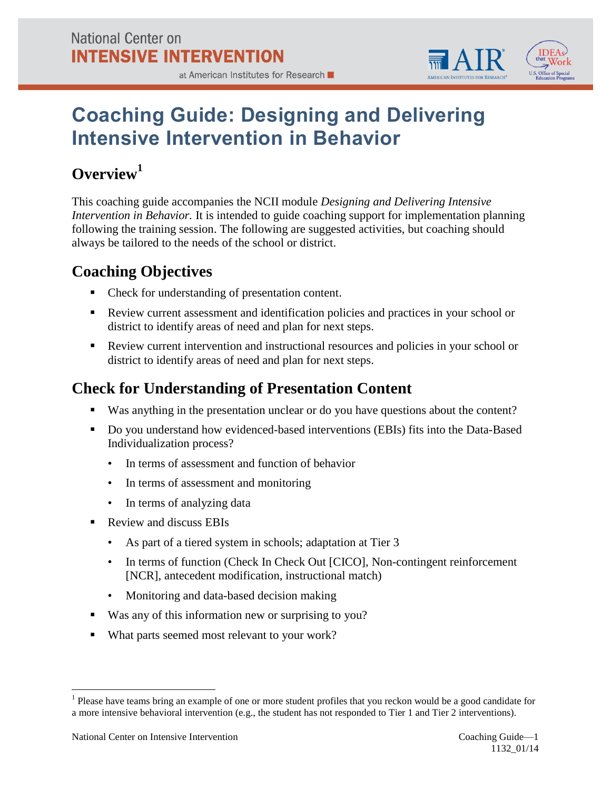



# **Coaching Guide: Designing and Delivering Intensive Intervention in Behavior**

## **Overview<sup>1</sup>**

This coaching guide accompanies the NCII module *Designing and Delivering Intensive Intervention in Behavior.* It is intended to guide coaching support for implementation planning following the training session. The following are suggested activities, but coaching should always be tailored to the needs of the school or district.

### **Coaching Objectives**

- Check for understanding of presentation content.
- Review current assessment and identification policies and practices in your school or district to identify areas of need and plan for next steps.
- Review current intervention and instructional resources and policies in your school or district to identify areas of need and plan for next steps.

#### **Check for Understanding of Presentation Content**

- Was anything in the presentation unclear or do you have questions about the content?
- Do you understand how evidenced-based interventions (EBIs) fits into the Data-Based Individualization process?
	- In terms of assessment and function of behavior
	- In terms of assessment and monitoring
	- In terms of analyzing data
- Review and discuss EBIs
	- As part of a tiered system in schools; adaptation at Tier 3
	- In terms of function (Check In Check Out [CICO], Non-contingent reinforcement [NCR], antecedent modification, instructional match)
	- Monitoring and data-based decision making
- Was any of this information new or surprising to you?
- What parts seemed most relevant to your work?

 $\overline{a}$ 

 $<sup>1</sup>$  Please have teams bring an example of one or more student profiles that you reckon would be a good candidate for</sup> a more intensive behavioral intervention (e.g., the student has not responded to Tier 1 and Tier 2 interventions).